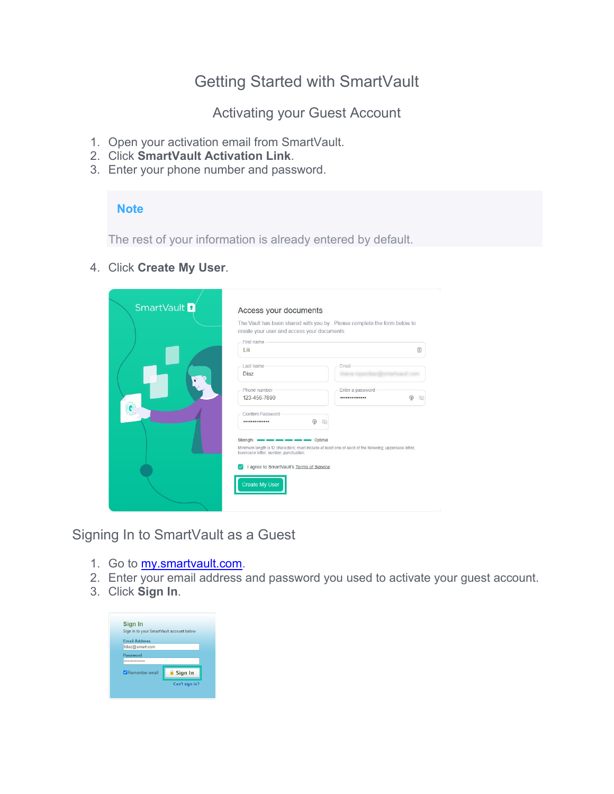# Getting Started with SmartVault

Activating your Guest Account

- 1. Open your activation email from SmartVault.
- 2. Click **SmartVault Activation Link**.
- 3. Enter your phone number and password.

## **Note**

The rest of your information is already entered by default.

4. Click **Create My User**.

| SmartVault <sup>2</sup> | Access your documents<br>create your user and access your documents.               | The Vault has been shared with you by . Please complete the form below to                              |        |
|-------------------------|------------------------------------------------------------------------------------|--------------------------------------------------------------------------------------------------------|--------|
|                         | First name<br>Lili                                                                 |                                                                                                        | 固      |
|                         | Last name<br>Diaz                                                                  | Email                                                                                                  |        |
|                         | Phone number<br>123-456-7890                                                       | Enter a password<br>                                                                                   | ⊛<br>∝ |
| $\widehat{\mathbf{C}}$  | Confirm Password<br>                                                               | ⋒<br>∝                                                                                                 |        |
|                         | Strength <b>case and case and case and</b> Optimal                                 | Minimum length is 12 characters; must include at least one of each of the following; uppercase letter, |        |
|                         | lowercase letter, number, punctuation.<br>I agree to SmartVault's Terms of Service |                                                                                                        |        |
|                         | Create My User                                                                     |                                                                                                        |        |

Signing In to SmartVault as a Guest

- 1. Go to [my.smartvault.com.](https://my.smartvault.com/)
- 2. Enter your email address and password you used to activate your guest account.
- 3. Click **Sign In**.

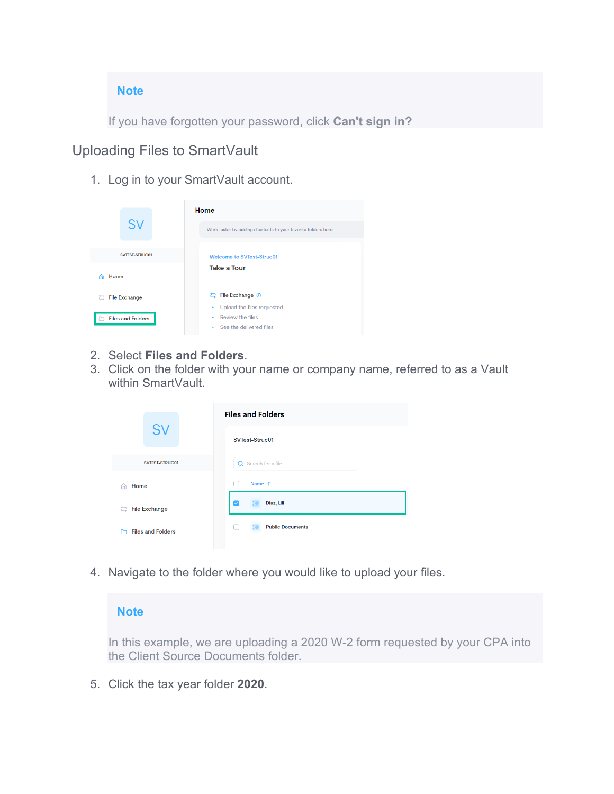### **Note**

If you have forgotten your password, click **Can't sign in?**

# Uploading Files to SmartVault

1. Log in to your SmartVault account.

|                          | Home                                                           |  |  |  |  |
|--------------------------|----------------------------------------------------------------|--|--|--|--|
| <b>SV</b>                | Work faster by adding shortcuts to your favorite folders here! |  |  |  |  |
| <b>SVTEST-STRUC01</b>    | <b>Welcome to SVTest-Struc01!</b><br><b>Take a Tour</b>        |  |  |  |  |
| Home<br>m                |                                                                |  |  |  |  |
| <b>File Exchange</b>     | 는 File Exchange ①<br>Upload the files requested<br>٠           |  |  |  |  |
| <b>Files and Folders</b> | Review the files<br>۰<br>See the delivered files<br>٠          |  |  |  |  |

- 2. Select **Files and Folders**.
- 3. Click on the folder with your name or company name, referred to as a Vault within SmartVault.

|                           | <b>Files and Folders</b> |  |  |  |  |  |
|---------------------------|--------------------------|--|--|--|--|--|
| <b>SV</b>                 | SVTest-Struc01           |  |  |  |  |  |
| <b>SVTEST-STRUC01</b>     | Q Search for a file      |  |  |  |  |  |
| Home<br>A                 | Name 1<br>ν.             |  |  |  |  |  |
| <b>File Exchange</b><br>ㄹ | Diaz, Lili<br>▽          |  |  |  |  |  |
| <b>Files and Folders</b>  | <b>Public Documents</b>  |  |  |  |  |  |

4. Navigate to the folder where you would like to upload your files.

### **Note**

In this example, we are uploading a 2020 W-2 form requested by your CPA into the Client Source Documents folder.

5. Click the tax year folder **2020**.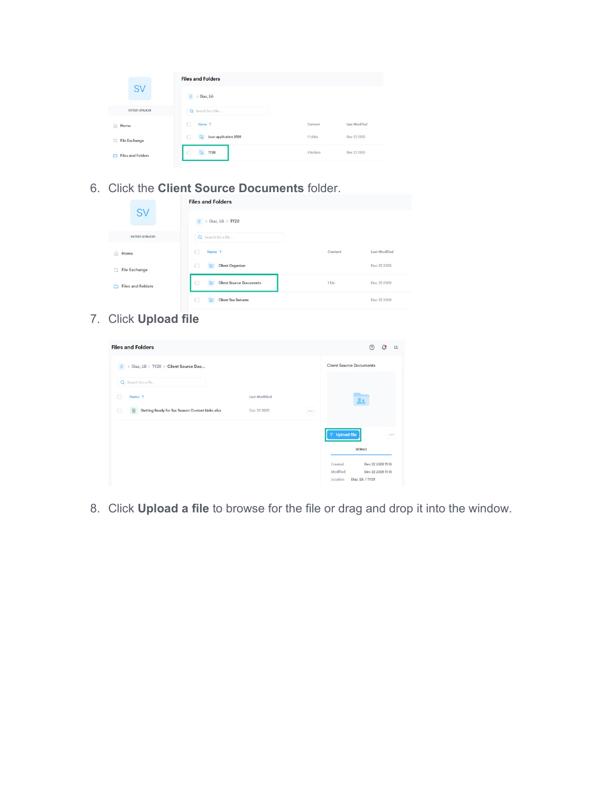|                          | <b>Files and Folders</b> |           |               |
|--------------------------|--------------------------|-----------|---------------|
| <b>SV</b>                | Diaz, Lili<br>蘭          |           |               |
| SVTEST-STRUC01           | Q Search for a file      |           |               |
| Home<br>$\hat{a}$        | Name 1                   | Content   | Last Modified |
| File Exchange<br>匀       | Loan application 2020    | 1 folder  | Dec 22 2020   |
| <b>Files and Folders</b> | <b>TY20</b>              | 3 folders | Dec 22 2020   |
| C                        |                          |           |               |

6. Click the **Client Source Documents** folder.

|                               | <b>Files and Folders</b>                |         |                      |  |  |  |  |  |
|-------------------------------|-----------------------------------------|---------|----------------------|--|--|--|--|--|
| <b>SV</b>                     | > Diaz, Lili > TY20<br>m                |         |                      |  |  |  |  |  |
| SVTEST-STRUC01                | Q Search for a file                     |         |                      |  |  |  |  |  |
| Home<br>⋒                     | $\Box$<br>Name 1                        | Content | <b>Last Modified</b> |  |  |  |  |  |
| File Exchange<br>a            | $\circ$<br><b>Client Organizer</b><br>÷ |         | Dec 22 2020          |  |  |  |  |  |
| <b>Files and Folders</b><br>r | O<br><b>Client Source Documents</b>     | 1 file  | Dec 22 2020          |  |  |  |  |  |
|                               | $\circ$<br><b>Client Tax Returns</b>    |         | Dec 22 2020          |  |  |  |  |  |

7. Click **Upload file**

| <b>Files and Folders</b>                             |               |          |                                | $^{\circ}$                             | Ľ, | LL       |
|------------------------------------------------------|---------------|----------|--------------------------------|----------------------------------------|----|----------|
| > Diaz, Lili > TY20 > Client Source Doc<br>m         |               |          | <b>Client Source Documents</b> |                                        |    |          |
| Q Search for a file                                  |               |          |                                |                                        |    |          |
| O<br>Name 1                                          | Last Modified |          |                                | 22                                     |    |          |
| Getting Ready for Tax Season Content Links.xlsx<br>c | Dec 22 2020   | $\cdots$ |                                |                                        |    |          |
|                                                      |               |          | <b>〒 Upload file</b>           |                                        |    | $\cdots$ |
|                                                      |               |          |                                | <b>DETAILS</b>                         |    |          |
|                                                      |               |          | Created                        | Dec 22 2020 11:18                      |    |          |
|                                                      |               |          | Modified<br>Location           | Dec 22 2020 11:18<br>Diaz, Lili / TY20 |    |          |

8. Click **Upload a file** to browse for the file or drag and drop it into the window.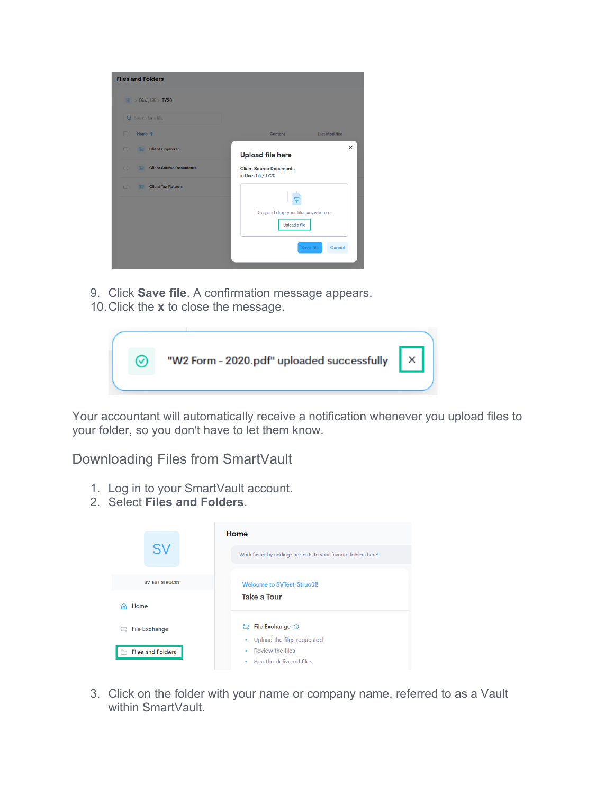| > Diaz, Lili > TY20<br>n                               |                                                        |
|--------------------------------------------------------|--------------------------------------------------------|
| Q Search for a file                                    |                                                        |
| $\Box$<br>Name 1                                       | <b>Last Modified</b><br>Content                        |
| $\Box$<br><b>Client Organizer</b><br><b>Tax</b>        | $\times$<br><b>Upload file here</b>                    |
| $\Box$<br><b>Client Source Documents</b><br><b>Tar</b> | <b>Client Source Documents</b><br>in Diaz, Lili / TY20 |
| $\Box$<br><b>Client Tax Returns</b><br><b>Tax</b>      |                                                        |
|                                                        | Drag and drop your files anywhere or<br>Upload a file  |

- 9. Click **Save file**. A confirmation message appears.
- 10.Click the **x** to close the message.



Your accountant will automatically receive a notification whenever you upload files to your folder, so you don't have to let them know.

Downloading Files from SmartVault

- 1. Log in to your SmartVault account.
- 2. Select **Files and Folders**.

|                           | Home                                                           |
|---------------------------|----------------------------------------------------------------|
| <b>SV</b>                 | Work faster by adding shortcuts to your favorite folders here! |
| <b>SVTEST-STRUC01</b>     | <b>Welcome to SVTest-Struc01!</b>                              |
| Home<br>ሐ                 | <b>Take a Tour</b>                                             |
| <b>File Exchange</b><br>ㄹ | 는 File Exchange ①<br>Upload the files requested<br>٠           |
| <b>Files and Folders</b>  | Review the files<br>٠<br>• See the delivered files             |

3. Click on the folder with your name or company name, referred to as a Vault within SmartVault.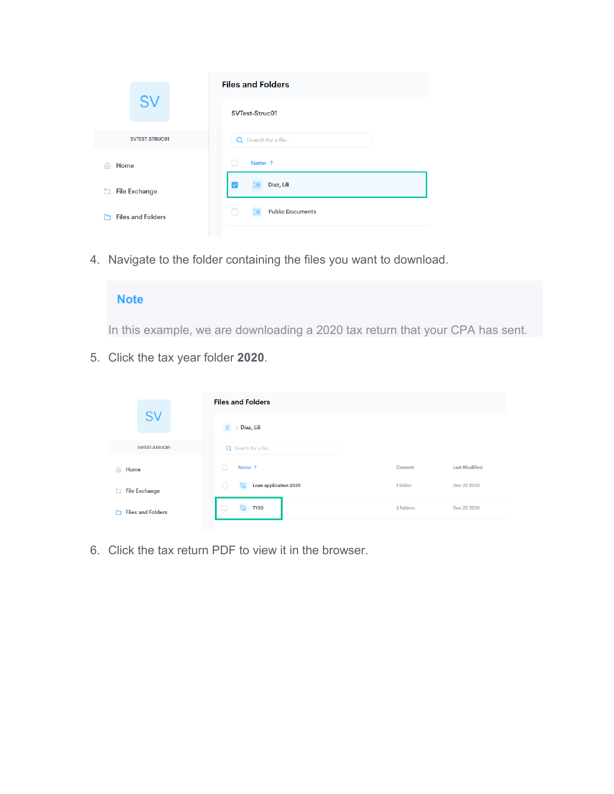|                            | <b>Files and Folders</b> |
|----------------------------|--------------------------|
| <b>SV</b>                  | <b>SVTest-Struc01</b>    |
| <b>SVTEST-STRUC01</b>      | Q Search for a file      |
| Home<br>$\bigcap$          | Name 1                   |
| <b>File Exchange</b><br>급. | Diaz, Lili<br>V          |
| <b>Files and Folders</b>   | <b>Public Documents</b>  |

4. Navigate to the folder containing the files you want to download.

## **Note**

In this example, we are downloading a 2020 tax return that your CPA has sent.

5. Click the tax year folder **2020**.

|                               | <b>Files and Folders</b> |           |                      |  |  |  |  |  |
|-------------------------------|--------------------------|-----------|----------------------|--|--|--|--|--|
| <b>SV</b>                     | Diaz, Lili               |           |                      |  |  |  |  |  |
| <b>SVTEST-STRUC01</b>         | Q Search for a file      |           |                      |  |  |  |  |  |
| Home<br>$\bigcap$             | Name 1                   | Content   | <b>Last Modified</b> |  |  |  |  |  |
| File Exchange                 | Loan application 2020    | 1 folder  | Dec 22 2020          |  |  |  |  |  |
| <b>Files and Folders</b><br>M | <b>TY20</b><br>- 1       | 3 folders | Dec 22 2020          |  |  |  |  |  |

6. Click the tax return PDF to view it in the browser.